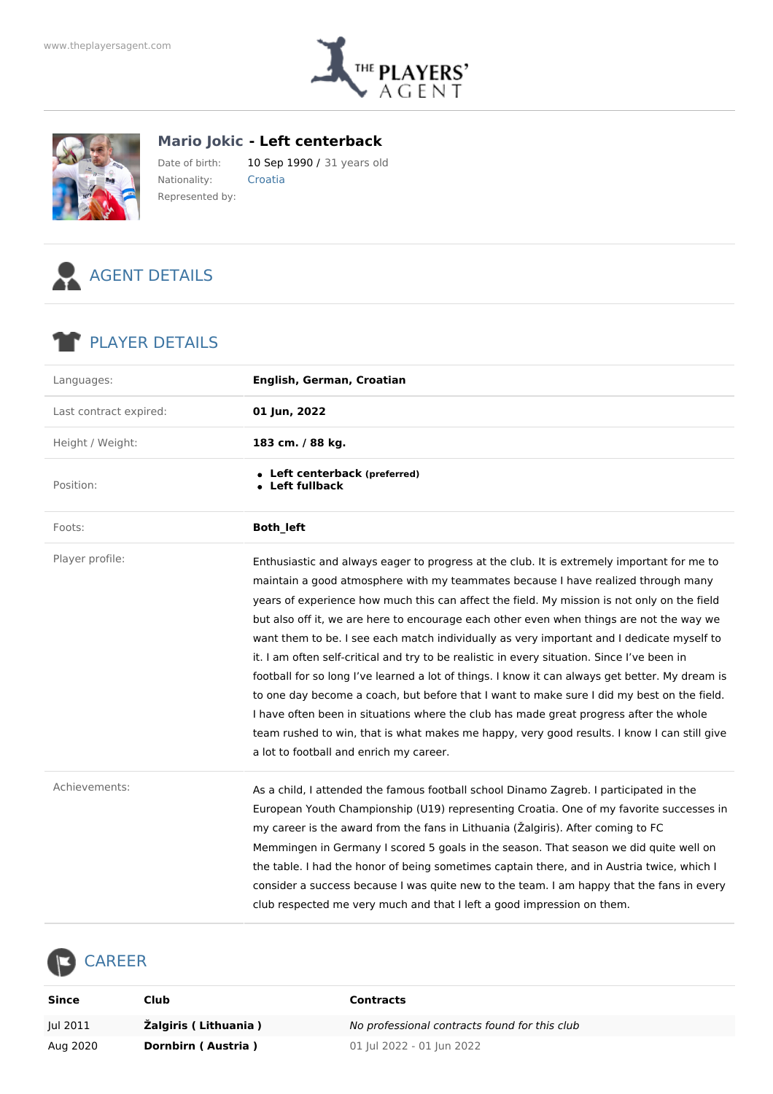



**Mario Jokic - Left centerback**

Date of birth: 10 Sep 1990 / 31 years old Nationality: Croatia Represented by:



## PLAYER DETAILS

| Languages:             | English, German, Croatian                                                                                                                                                                                                                                                                                                                                                                                                                                                                                                                                                                                                                                                                                                                                                                                                                                                                                                                                                                                   |  |  |  |  |
|------------------------|-------------------------------------------------------------------------------------------------------------------------------------------------------------------------------------------------------------------------------------------------------------------------------------------------------------------------------------------------------------------------------------------------------------------------------------------------------------------------------------------------------------------------------------------------------------------------------------------------------------------------------------------------------------------------------------------------------------------------------------------------------------------------------------------------------------------------------------------------------------------------------------------------------------------------------------------------------------------------------------------------------------|--|--|--|--|
| Last contract expired: | 01 Jun, 2022                                                                                                                                                                                                                                                                                                                                                                                                                                                                                                                                                                                                                                                                                                                                                                                                                                                                                                                                                                                                |  |  |  |  |
| Height / Weight:       | 183 cm. / 88 kg.                                                                                                                                                                                                                                                                                                                                                                                                                                                                                                                                                                                                                                                                                                                                                                                                                                                                                                                                                                                            |  |  |  |  |
| Position:              | • Left centerback (preferred)<br>• Left fullback                                                                                                                                                                                                                                                                                                                                                                                                                                                                                                                                                                                                                                                                                                                                                                                                                                                                                                                                                            |  |  |  |  |
| Foots:                 | Both_left                                                                                                                                                                                                                                                                                                                                                                                                                                                                                                                                                                                                                                                                                                                                                                                                                                                                                                                                                                                                   |  |  |  |  |
| Player profile:        | Enthusiastic and always eager to progress at the club. It is extremely important for me to<br>maintain a good atmosphere with my teammates because I have realized through many<br>years of experience how much this can affect the field. My mission is not only on the field<br>but also off it, we are here to encourage each other even when things are not the way we<br>want them to be. I see each match individually as very important and I dedicate myself to<br>it. I am often self-critical and try to be realistic in every situation. Since I've been in<br>football for so long I've learned a lot of things. I know it can always get better. My dream is<br>to one day become a coach, but before that I want to make sure I did my best on the field.<br>I have often been in situations where the club has made great progress after the whole<br>team rushed to win, that is what makes me happy, very good results. I know I can still give<br>a lot to football and enrich my career. |  |  |  |  |
| Achievements:          | As a child, I attended the famous football school Dinamo Zagreb. I participated in the<br>European Youth Championship (U19) representing Croatia. One of my favorite successes in<br>my career is the award from the fans in Lithuania (Žalgiris). After coming to FC<br>Memmingen in Germany I scored 5 goals in the season. That season we did quite well on<br>the table. I had the honor of being sometimes captain there, and in Austria twice, which I<br>consider a success because I was quite new to the team. I am happy that the fans in every<br>club respected me very much and that I left a good impression on them.                                                                                                                                                                                                                                                                                                                                                                         |  |  |  |  |

## CAREER  $\overline{\phantom{a}}$

| Since    | Club                 | Contracts                                     |
|----------|----------------------|-----------------------------------------------|
| Jul 2011 | Žalgiris (Lithuania) | No professional contracts found for this club |
| Aug 2020 | Dornbirn (Austria)   | 01 Jul 2022 - 01 Jun 2022                     |